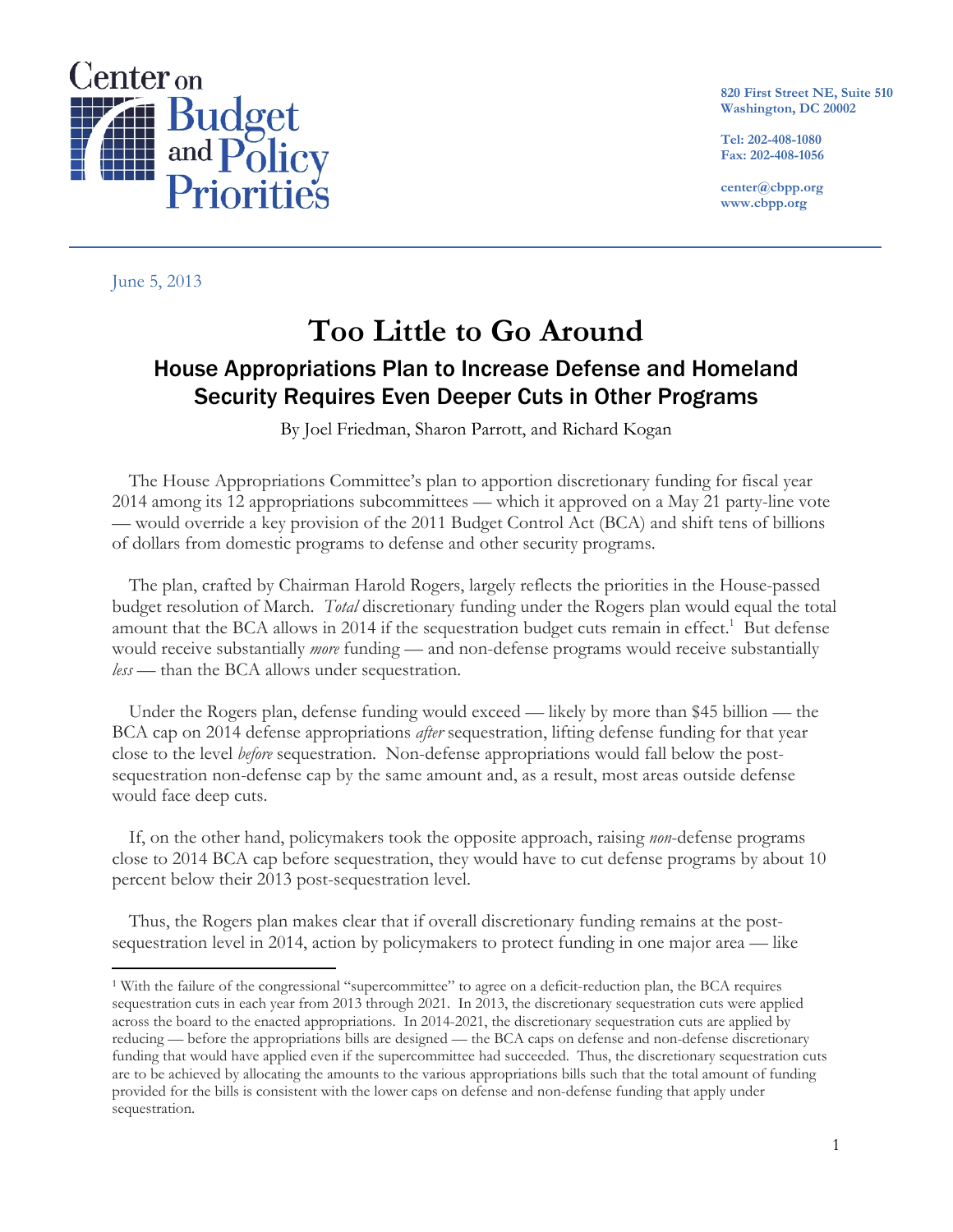

**820 First Street NE, Suite 510 Washington, DC 20002** 

**Tel: 202-408-1080 Fax: 202-408-1056** 

**center@cbpp.org www.cbpp.org** 

June 5, 2013

 $\overline{a}$ 

# **Too Little to Go Around**  House Appropriations Plan to Increase Defense and Homeland Security Requires Even Deeper Cuts in Other Programs

By Joel Friedman, Sharon Parrott, and Richard Kogan

The House Appropriations Committee's plan to apportion discretionary funding for fiscal year 2014 among its 12 appropriations subcommittees — which it approved on a May 21 party-line vote — would override a key provision of the 2011 Budget Control Act (BCA) and shift tens of billions of dollars from domestic programs to defense and other security programs.

The plan, crafted by Chairman Harold Rogers, largely reflects the priorities in the House-passed budget resolution of March. *Total* discretionary funding under the Rogers plan would equal the total amount that the BCA allows in 2014 if the sequestration budget cuts remain in effect.<sup>1</sup> But defense would receive substantially *more* funding — and non-defense programs would receive substantially *less* — than the BCA allows under sequestration.

Under the Rogers plan, defense funding would exceed — likely by more than \$45 billion — the BCA cap on 2014 defense appropriations *after* sequestration, lifting defense funding for that year close to the level *before* sequestration. Non-defense appropriations would fall below the postsequestration non-defense cap by the same amount and, as a result, most areas outside defense would face deep cuts.

If, on the other hand, policymakers took the opposite approach, raising *non*-defense programs close to 2014 BCA cap before sequestration, they would have to cut defense programs by about 10 percent below their 2013 post-sequestration level.

Thus, the Rogers plan makes clear that if overall discretionary funding remains at the postsequestration level in 2014, action by policymakers to protect funding in one major area — like

<sup>1</sup> With the failure of the congressional "supercommittee" to agree on a deficit-reduction plan, the BCA requires sequestration cuts in each year from 2013 through 2021. In 2013, the discretionary sequestration cuts were applied across the board to the enacted appropriations. In 2014-2021, the discretionary sequestration cuts are applied by reducing — before the appropriations bills are designed — the BCA caps on defense and non-defense discretionary funding that would have applied even if the supercommittee had succeeded. Thus, the discretionary sequestration cuts are to be achieved by allocating the amounts to the various appropriations bills such that the total amount of funding provided for the bills is consistent with the lower caps on defense and non-defense funding that apply under sequestration.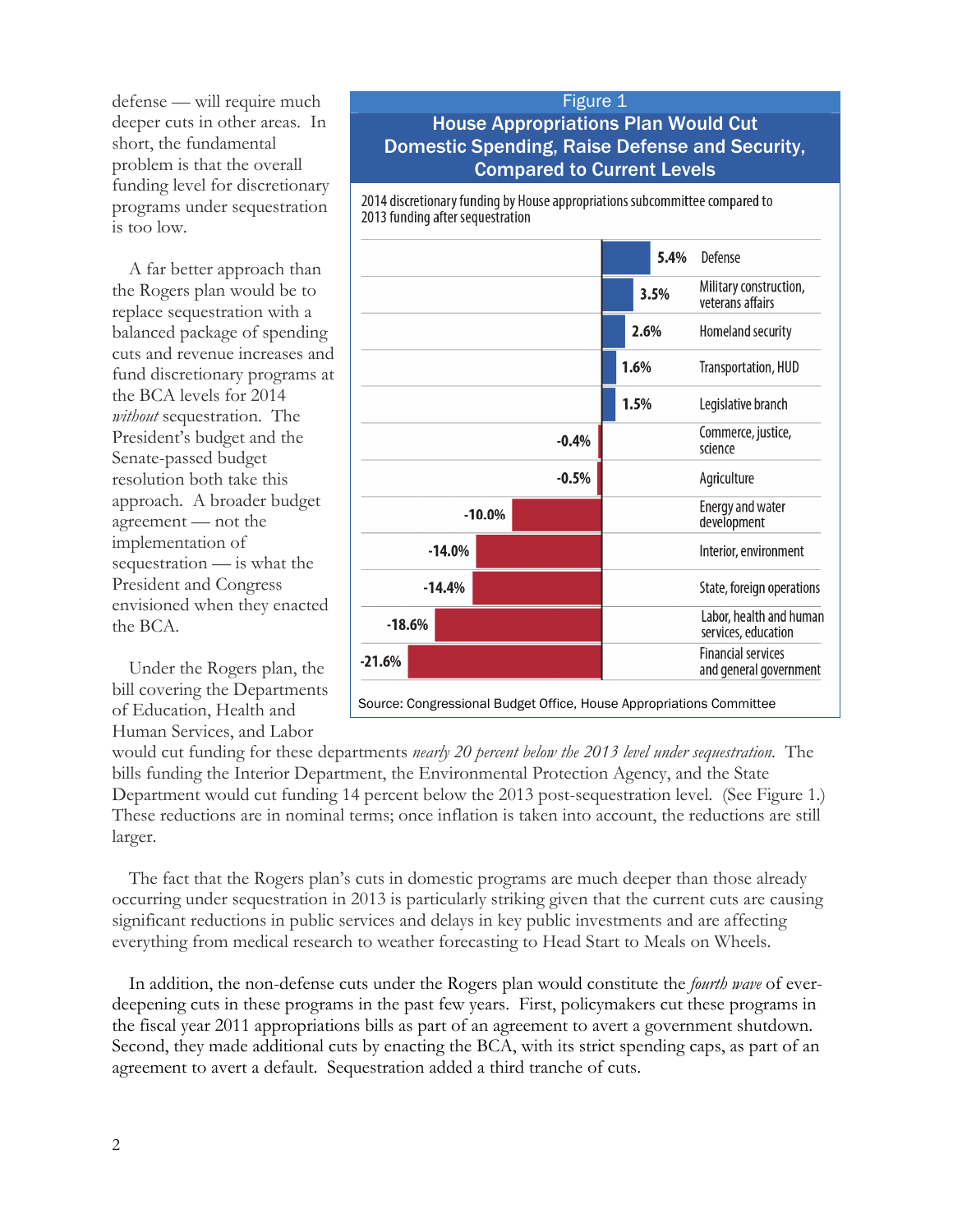defense — will require much deeper cuts in other areas. In short, the fundamental problem is that the overall funding level for discretionary programs under sequestration is too low.

A far better approach than the Rogers plan would be to replace sequestration with a balanced package of spending cuts and revenue increases and fund discretionary programs at the BCA levels for 2014 *without* sequestration. The President's budget and the Senate-passed budget resolution both take this approach. A broader budget agreement — not the implementation of sequestration — is what the President and Congress envisioned when they enacted the BCA.

Under the Rogers plan, the bill covering the Departments of Education, Health and Human Services, and Labor

### Figure 1 House Appropriations Plan Would Cut Domestic Spending, Raise Defense and Security, Compared to Current Levels

2014 discretionary funding by House appropriations subcommittee compared to 2013 funding after sequestration



would cut funding for these departments *nearly 20 percent below the 2013 level under sequestration.* The bills funding the Interior Department, the Environmental Protection Agency, and the State Department would cut funding 14 percent below the 2013 post-sequestration level. (See Figure 1.) These reductions are in nominal terms; once inflation is taken into account, the reductions are still larger.

The fact that the Rogers plan's cuts in domestic programs are much deeper than those already occurring under sequestration in 2013 is particularly striking given that the current cuts are causing significant reductions in public services and delays in key public investments and are affecting everything from medical research to weather forecasting to Head Start to Meals on Wheels.

In addition, the non-defense cuts under the Rogers plan would constitute the *fourth wave* of everdeepening cuts in these programs in the past few years. First, policymakers cut these programs in the fiscal year 2011 appropriations bills as part of an agreement to avert a government shutdown. Second, they made additional cuts by enacting the BCA, with its strict spending caps, as part of an agreement to avert a default. Sequestration added a third tranche of cuts.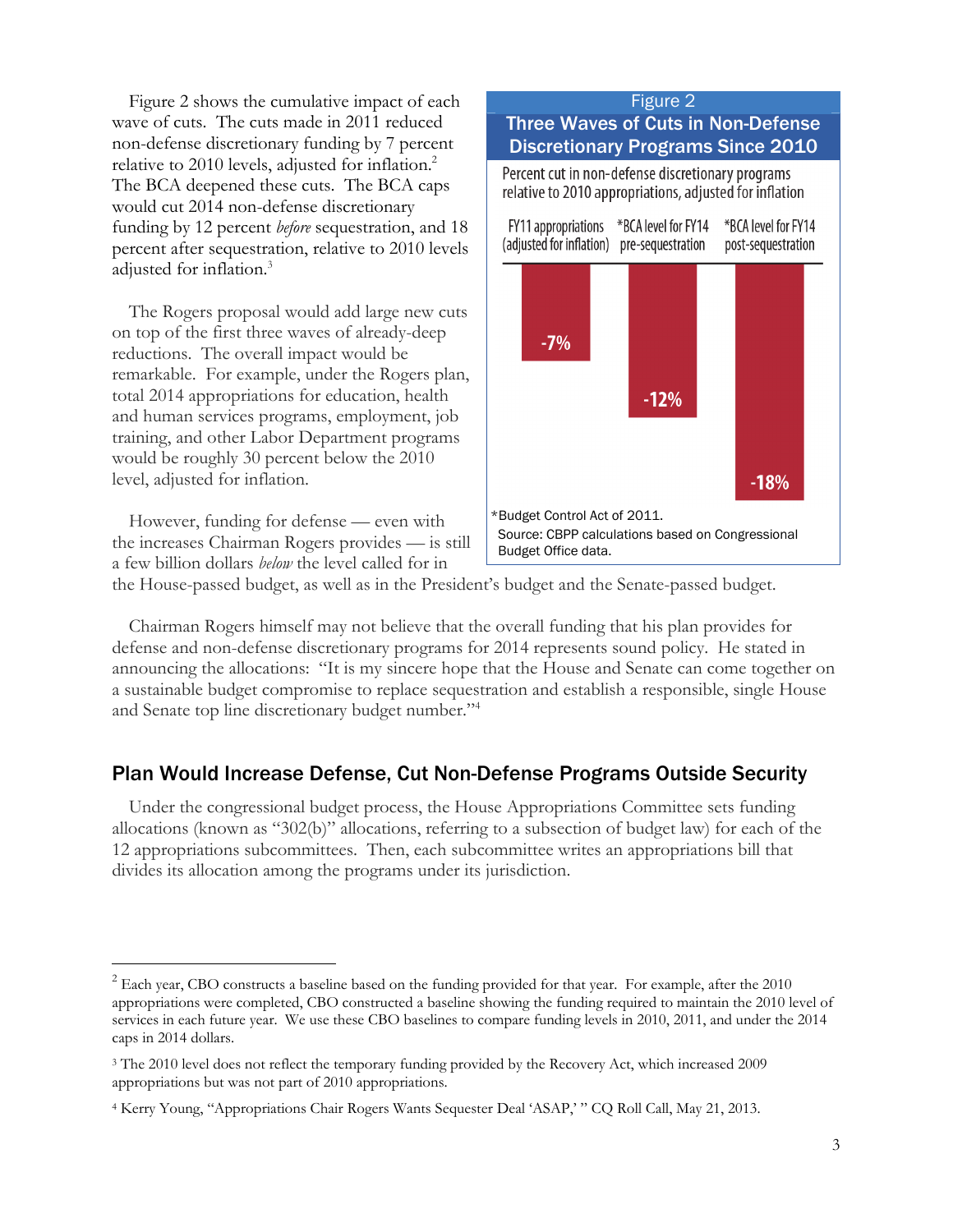Figure 2 shows the cumulative impact of each wave of cuts. The cuts made in 2011 reduced non-defense discretionary funding by 7 percent relative to 2010 levels, adjusted for inflation.<sup>2</sup> The BCA deepened these cuts. The BCA caps would cut 2014 non-defense discretionary funding by 12 percent *before* sequestration, and 18 percent after sequestration, relative to 2010 levels adjusted for inflation.<sup>3</sup>

The Rogers proposal would add large new cuts on top of the first three waves of already-deep reductions. The overall impact would be remarkable. For example, under the Rogers plan, total 2014 appropriations for education, health and human services programs, employment, job training, and other Labor Department programs would be roughly 30 percent below the 2010 level, adjusted for inflation.

However, funding for defense — even with the increases Chairman Rogers provides — is still a few billion dollars *below* the level called for in

-



the House-passed budget, as well as in the President's budget and the Senate-passed budget.

Chairman Rogers himself may not believe that the overall funding that his plan provides for defense and non-defense discretionary programs for 2014 represents sound policy. He stated in announcing the allocations: "It is my sincere hope that the House and Senate can come together on a sustainable budget compromise to replace sequestration and establish a responsible, single House and Senate top line discretionary budget number."<sup>4</sup>

#### Plan Would Increase Defense, Cut Non-Defense Programs Outside Security

Under the congressional budget process, the House Appropriations Committee sets funding allocations (known as "302(b)" allocations, referring to a subsection of budget law) for each of the 12 appropriations subcommittees. Then, each subcommittee writes an appropriations bill that divides its allocation among the programs under its jurisdiction.

 $2^{2}$  Each year, CBO constructs a baseline based on the funding provided for that year. For example, after the 2010 appropriations were completed, CBO constructed a baseline showing the funding required to maintain the 2010 level of services in each future year. We use these CBO baselines to compare funding levels in 2010, 2011, and under the 2014 caps in 2014 dollars.

<sup>&</sup>lt;sup>3</sup> The 2010 level does not reflect the temporary funding provided by the Recovery Act, which increased 2009 appropriations but was not part of 2010 appropriations.

<sup>4</sup> Kerry Young, "Appropriations Chair Rogers Wants Sequester Deal 'ASAP,' " CQ Roll Call, May 21, 2013.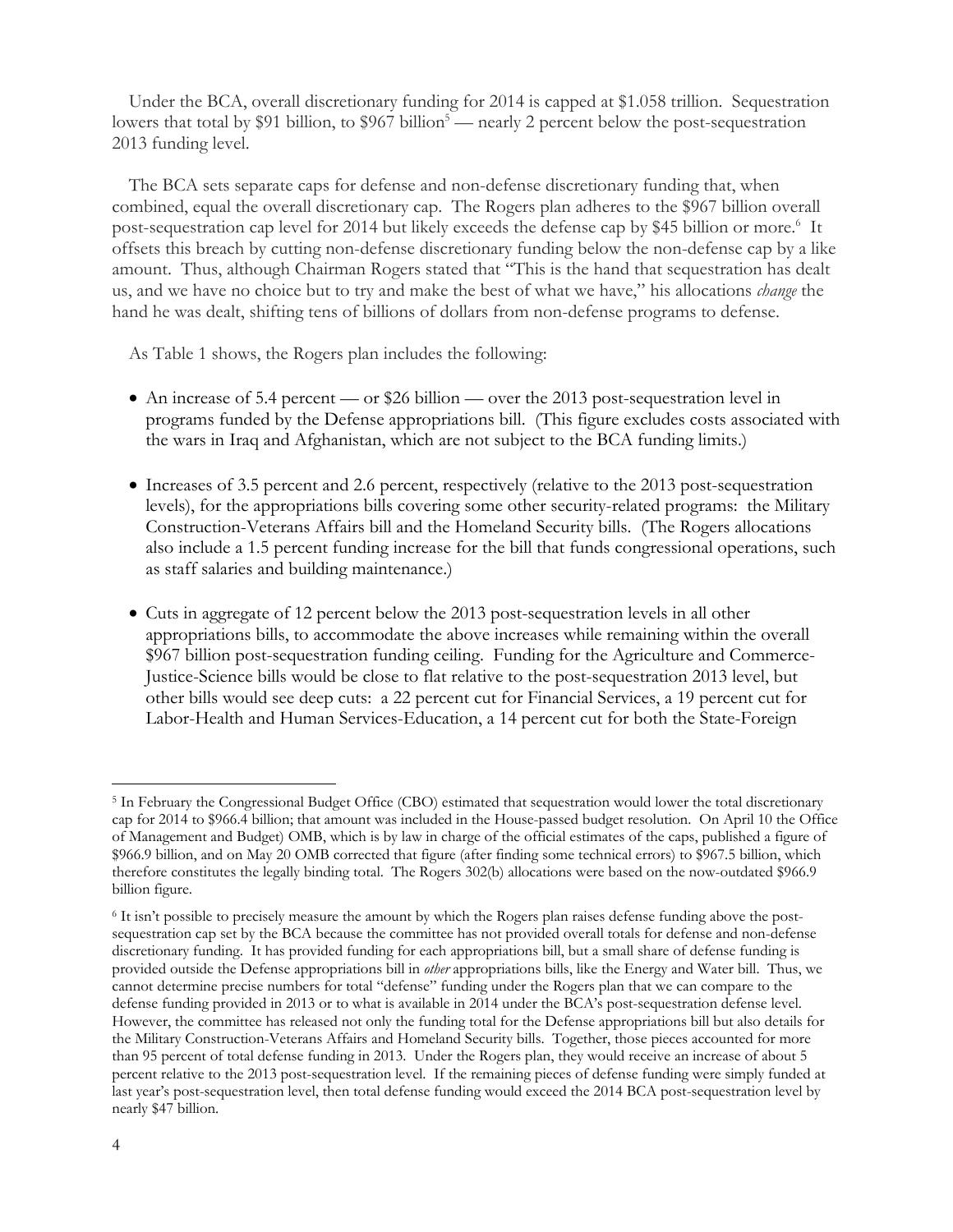Under the BCA, overall discretionary funding for 2014 is capped at \$1.058 trillion. Sequestration lowers that total by \$91 billion, to \$967 billion<sup>5</sup> — nearly 2 percent below the post-sequestration 2013 funding level.

The BCA sets separate caps for defense and non-defense discretionary funding that, when combined, equal the overall discretionary cap. The Rogers plan adheres to the \$967 billion overall post-sequestration cap level for 2014 but likely exceeds the defense cap by \$45 billion or more.<sup>6</sup> It offsets this breach by cutting non-defense discretionary funding below the non-defense cap by a like amount. Thus, although Chairman Rogers stated that "This is the hand that sequestration has dealt us, and we have no choice but to try and make the best of what we have," his allocations *change* the hand he was dealt, shifting tens of billions of dollars from non-defense programs to defense.

As Table 1 shows, the Rogers plan includes the following:

- An increase of 5.4 percent or \$26 billion over the 2013 post-sequestration level in programs funded by the Defense appropriations bill. (This figure excludes costs associated with the wars in Iraq and Afghanistan, which are not subject to the BCA funding limits.)
- Increases of 3.5 percent and 2.6 percent, respectively (relative to the 2013 post-sequestration levels), for the appropriations bills covering some other security-related programs: the Military Construction-Veterans Affairs bill and the Homeland Security bills. (The Rogers allocations also include a 1.5 percent funding increase for the bill that funds congressional operations, such as staff salaries and building maintenance.)
- Cuts in aggregate of 12 percent below the 2013 post-sequestration levels in all other appropriations bills, to accommodate the above increases while remaining within the overall \$967 billion post-sequestration funding ceiling. Funding for the Agriculture and Commerce-Justice-Science bills would be close to flat relative to the post-sequestration 2013 level, but other bills would see deep cuts: a 22 percent cut for Financial Services, a 19 percent cut for Labor-Health and Human Services-Education, a 14 percent cut for both the State-Foreign

-

<sup>5</sup> In February the Congressional Budget Office (CBO) estimated that sequestration would lower the total discretionary cap for 2014 to \$966.4 billion; that amount was included in the House-passed budget resolution. On April 10 the Office of Management and Budget) OMB, which is by law in charge of the official estimates of the caps, published a figure of \$966.9 billion, and on May 20 OMB corrected that figure (after finding some technical errors) to \$967.5 billion, which therefore constitutes the legally binding total. The Rogers 302(b) allocations were based on the now-outdated \$966.9 billion figure.

<sup>6</sup> It isn't possible to precisely measure the amount by which the Rogers plan raises defense funding above the postsequestration cap set by the BCA because the committee has not provided overall totals for defense and non-defense discretionary funding. It has provided funding for each appropriations bill, but a small share of defense funding is provided outside the Defense appropriations bill in *other* appropriations bills, like the Energy and Water bill. Thus, we cannot determine precise numbers for total "defense" funding under the Rogers plan that we can compare to the defense funding provided in 2013 or to what is available in 2014 under the BCA's post-sequestration defense level. However, the committee has released not only the funding total for the Defense appropriations bill but also details for the Military Construction-Veterans Affairs and Homeland Security bills. Together, those pieces accounted for more than 95 percent of total defense funding in 2013. Under the Rogers plan, they would receive an increase of about 5 percent relative to the 2013 post-sequestration level. If the remaining pieces of defense funding were simply funded at last year's post-sequestration level, then total defense funding would exceed the 2014 BCA post-sequestration level by nearly \$47 billion.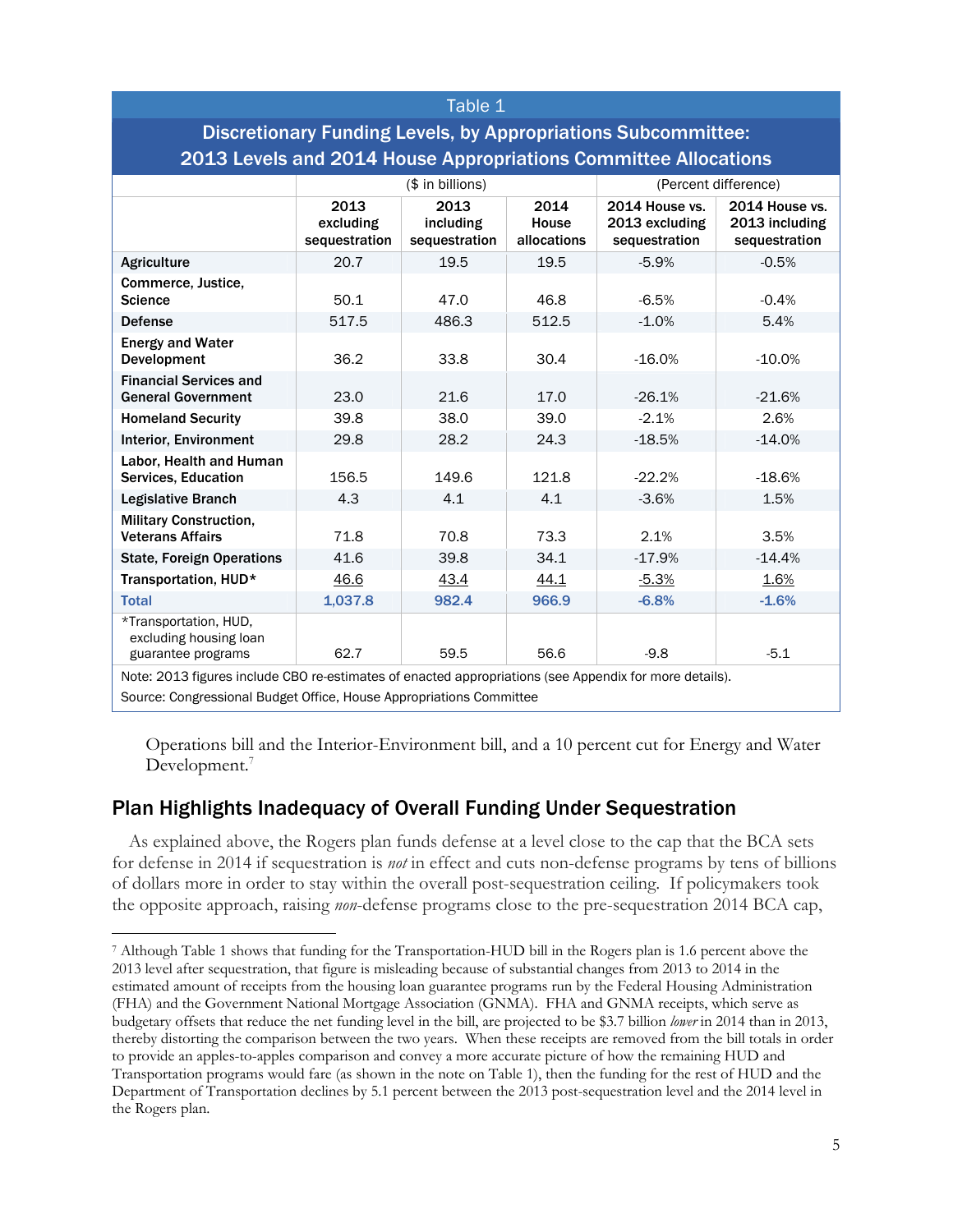| Table 1                                                                                                |                                    |                                    |                              |                                                   |                                                   |  |  |  |
|--------------------------------------------------------------------------------------------------------|------------------------------------|------------------------------------|------------------------------|---------------------------------------------------|---------------------------------------------------|--|--|--|
| <b>Discretionary Funding Levels, by Appropriations Subcommittee:</b>                                   |                                    |                                    |                              |                                                   |                                                   |  |  |  |
| 2013 Levels and 2014 House Appropriations Committee Allocations                                        |                                    |                                    |                              |                                                   |                                                   |  |  |  |
|                                                                                                        | $($$ in billions)                  |                                    |                              | (Percent difference)                              |                                                   |  |  |  |
|                                                                                                        | 2013<br>excluding<br>sequestration | 2013<br>including<br>sequestration | 2014<br>House<br>allocations | 2014 House vs.<br>2013 excluding<br>sequestration | 2014 House vs.<br>2013 including<br>sequestration |  |  |  |
| <b>Agriculture</b>                                                                                     | 20.7                               | 19.5                               | 19.5                         | $-5.9%$                                           | $-0.5%$                                           |  |  |  |
| Commerce, Justice,<br><b>Science</b>                                                                   | 50.1                               | 47.0                               | 46.8                         | $-6.5%$                                           | $-0.4%$                                           |  |  |  |
| <b>Defense</b>                                                                                         | 517.5                              | 486.3                              | 512.5                        | $-1.0%$                                           | 5.4%                                              |  |  |  |
| <b>Energy and Water</b><br>Development                                                                 | 36.2                               | 33.8                               | 30.4                         | $-16.0%$                                          | $-10.0%$                                          |  |  |  |
| <b>Financial Services and</b><br><b>General Government</b>                                             | 23.0                               | 21.6                               | 17.0                         | $-26.1%$                                          | $-21.6%$                                          |  |  |  |
| <b>Homeland Security</b>                                                                               | 39.8                               | 38.0                               | 39.0                         | $-2.1%$                                           | 2.6%                                              |  |  |  |
| <b>Interior, Environment</b>                                                                           | 29.8                               | 28.2                               | 24.3                         | $-18.5%$                                          | $-14.0%$                                          |  |  |  |
| Labor, Health and Human<br>Services, Education                                                         | 156.5                              | 149.6                              | 121.8                        | $-22.2%$                                          | $-18.6%$                                          |  |  |  |
| <b>Legislative Branch</b>                                                                              | 4.3                                | 4.1                                | 4.1                          | $-3.6%$                                           | 1.5%                                              |  |  |  |
| <b>Military Construction,</b><br><b>Veterans Affairs</b>                                               | 71.8                               | 70.8                               | 73.3                         | 2.1%                                              | 3.5%                                              |  |  |  |
| <b>State, Foreign Operations</b>                                                                       | 41.6                               | 39.8                               | 34.1                         | $-17.9%$                                          | $-14.4%$                                          |  |  |  |
| Transportation, HUD*                                                                                   | 46.6                               | 43.4                               | 44.1                         | $-5.3%$                                           | 1.6%                                              |  |  |  |
| <b>Total</b>                                                                                           | 1,037.8                            | 982.4                              | 966.9                        | $-6.8%$                                           | $-1.6%$                                           |  |  |  |
| *Transportation, HUD,<br>excluding housing loan<br>guarantee programs                                  | 62.7                               | 59.5                               | 56.6                         | $-9.8$                                            | $-5.1$                                            |  |  |  |
| Note: 2013 figures include CBO re-estimates of enacted appropriations (see Appendix for more details). |                                    |                                    |                              |                                                   |                                                   |  |  |  |
| Source: Congressional Budget Office, House Appropriations Committee                                    |                                    |                                    |                              |                                                   |                                                   |  |  |  |

Operations bill and the Interior-Environment bill, and a 10 percent cut for Energy and Water Development.<sup>7</sup>

## Plan Highlights Inadequacy of Overall Funding Under Sequestration

 $\overline{a}$ 

As explained above, the Rogers plan funds defense at a level close to the cap that the BCA sets for defense in 2014 if sequestration is *not* in effect and cuts non-defense programs by tens of billions of dollars more in order to stay within the overall post-sequestration ceiling. If policymakers took the opposite approach, raising *non*-defense programs close to the pre-sequestration 2014 BCA cap,

<sup>7</sup> Although Table 1 shows that funding for the Transportation-HUD bill in the Rogers plan is 1.6 percent above the 2013 level after sequestration, that figure is misleading because of substantial changes from 2013 to 2014 in the estimated amount of receipts from the housing loan guarantee programs run by the Federal Housing Administration (FHA) and the Government National Mortgage Association (GNMA). FHA and GNMA receipts, which serve as budgetary offsets that reduce the net funding level in the bill, are projected to be \$3.7 billion *lower* in 2014 than in 2013, thereby distorting the comparison between the two years. When these receipts are removed from the bill totals in order to provide an apples-to-apples comparison and convey a more accurate picture of how the remaining HUD and Transportation programs would fare (as shown in the note on Table 1), then the funding for the rest of HUD and the Department of Transportation declines by 5.1 percent between the 2013 post-sequestration level and the 2014 level in the Rogers plan.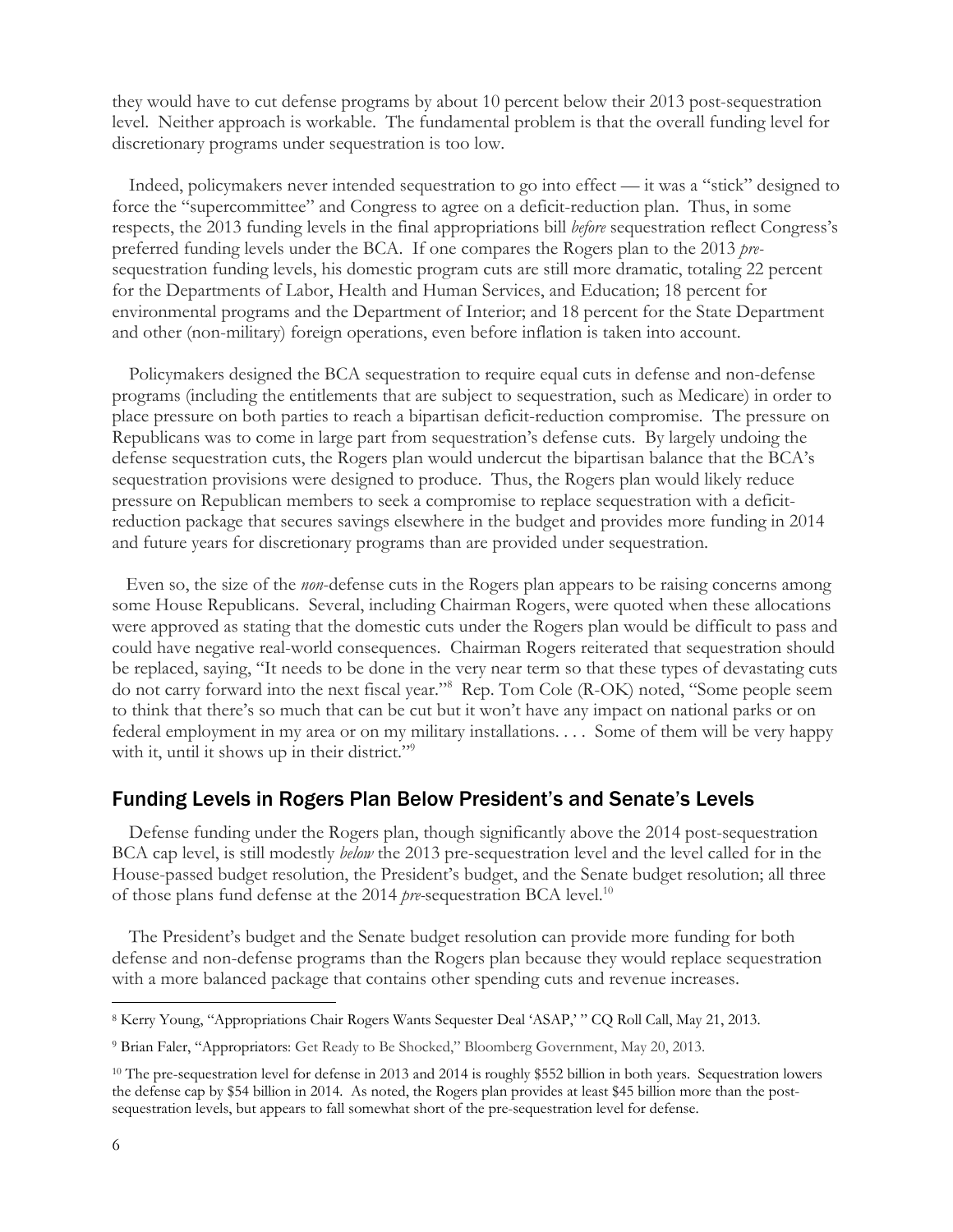they would have to cut defense programs by about 10 percent below their 2013 post-sequestration level. Neither approach is workable. The fundamental problem is that the overall funding level for discretionary programs under sequestration is too low.

Indeed, policymakers never intended sequestration to go into effect — it was a "stick" designed to force the "supercommittee" and Congress to agree on a deficit-reduction plan. Thus, in some respects, the 2013 funding levels in the final appropriations bill *before* sequestration reflect Congress's preferred funding levels under the BCA. If one compares the Rogers plan to the 2013 *pre*sequestration funding levels, his domestic program cuts are still more dramatic, totaling 22 percent for the Departments of Labor, Health and Human Services, and Education; 18 percent for environmental programs and the Department of Interior; and 18 percent for the State Department and other (non-military) foreign operations, even before inflation is taken into account.

Policymakers designed the BCA sequestration to require equal cuts in defense and non-defense programs (including the entitlements that are subject to sequestration, such as Medicare) in order to place pressure on both parties to reach a bipartisan deficit-reduction compromise. The pressure on Republicans was to come in large part from sequestration's defense cuts. By largely undoing the defense sequestration cuts, the Rogers plan would undercut the bipartisan balance that the BCA's sequestration provisions were designed to produce. Thus, the Rogers plan would likely reduce pressure on Republican members to seek a compromise to replace sequestration with a deficitreduction package that secures savings elsewhere in the budget and provides more funding in 2014 and future years for discretionary programs than are provided under sequestration.

 Even so, the size of the *non*-defense cuts in the Rogers plan appears to be raising concerns among some House Republicans. Several, including Chairman Rogers, were quoted when these allocations were approved as stating that the domestic cuts under the Rogers plan would be difficult to pass and could have negative real-world consequences. Chairman Rogers reiterated that sequestration should be replaced, saying, "It needs to be done in the very near term so that these types of devastating cuts do not carry forward into the next fiscal year."8 Rep. Tom Cole (R-OK) noted, "Some people seem to think that there's so much that can be cut but it won't have any impact on national parks or on federal employment in my area or on my military installations. . . . Some of them will be very happy with it, until it shows up in their district."<sup>9</sup>

#### Funding Levels in Rogers Plan Below President's and Senate's Levels

Defense funding under the Rogers plan, though significantly above the 2014 post-sequestration BCA cap level, is still modestly *below* the 2013 pre-sequestration level and the level called for in the House-passed budget resolution, the President's budget, and the Senate budget resolution; all three of those plans fund defense at the 2014 *pre-*sequestration BCA level.10

The President's budget and the Senate budget resolution can provide more funding for both defense and non-defense programs than the Rogers plan because they would replace sequestration with a more balanced package that contains other spending cuts and revenue increases.

 $\overline{a}$ 

<sup>8</sup> Kerry Young, "Appropriations Chair Rogers Wants Sequester Deal 'ASAP,' " CQ Roll Call, May 21, 2013.

<sup>9</sup> Brian Faler, "Appropriators: Get Ready to Be Shocked," Bloomberg Government, May 20, 2013.

<sup>&</sup>lt;sup>10</sup> The pre-sequestration level for defense in 2013 and 2014 is roughly \$552 billion in both years. Sequestration lowers the defense cap by \$54 billion in 2014. As noted, the Rogers plan provides at least \$45 billion more than the postsequestration levels, but appears to fall somewhat short of the pre-sequestration level for defense.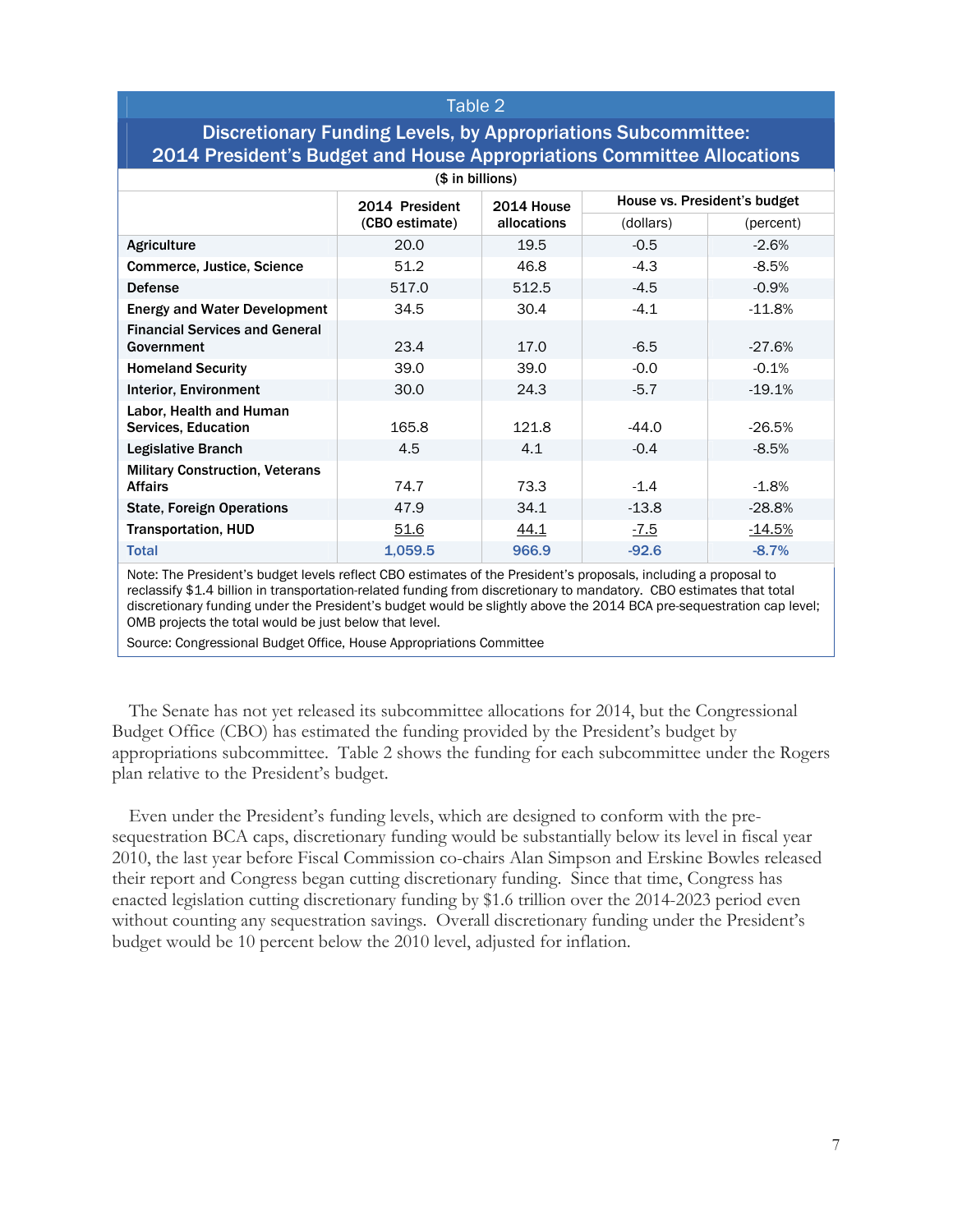#### Table 2

## Discretionary Funding Levels, by Appropriations Subcommittee: 2014 President's Budget and House Appropriations Committee Allocations

| (\$ in billions)                                         |                |                           |                              |               |  |  |  |  |  |
|----------------------------------------------------------|----------------|---------------------------|------------------------------|---------------|--|--|--|--|--|
|                                                          | 2014 President | 2014 House<br>allocations | House vs. President's budget |               |  |  |  |  |  |
|                                                          | (CBO estimate) |                           | (dollars)                    | (percent)     |  |  |  |  |  |
| Agriculture                                              | 20.0           | 19.5                      | $-0.5$                       | $-2.6%$       |  |  |  |  |  |
| Commerce, Justice, Science                               | 51.2           | 46.8                      | $-4.3$                       | $-8.5%$       |  |  |  |  |  |
| <b>Defense</b>                                           | 517.0          | 512.5                     | $-4.5$                       | $-0.9%$       |  |  |  |  |  |
| <b>Energy and Water Development</b>                      | 34.5           | 30.4                      | $-4.1$                       | $-11.8%$      |  |  |  |  |  |
| <b>Financial Services and General</b><br>Government      | 23.4           | 17.0                      | $-6.5$                       | $-27.6%$      |  |  |  |  |  |
| <b>Homeland Security</b>                                 | 39.0           | 39.0                      | $-0.0$                       | $-0.1%$       |  |  |  |  |  |
| <b>Interior, Environment</b>                             | 30.0           | 24.3                      | $-5.7$                       | $-19.1%$      |  |  |  |  |  |
| Labor, Health and Human<br>Services, Education           | 165.8          | 121.8                     | $-44.0$                      | $-26.5%$      |  |  |  |  |  |
| <b>Legislative Branch</b>                                | 4.5            | 4.1                       | $-0.4$                       | $-8.5%$       |  |  |  |  |  |
| <b>Military Construction, Veterans</b><br><b>Affairs</b> | 74.7           | 73.3                      | $-1.4$                       | $-1.8%$       |  |  |  |  |  |
| <b>State, Foreign Operations</b>                         | 47.9           | 34.1                      | $-13.8$                      | $-28.8%$      |  |  |  |  |  |
| <b>Transportation, HUD</b>                               | <u>51.6</u>    | <u>44.1</u>               | $-7.5$                       | <u>-14.5%</u> |  |  |  |  |  |
| <b>Total</b>                                             | 1,059.5        | 966.9                     | $-92.6$                      | $-8.7%$       |  |  |  |  |  |

Note: The President's budget levels reflect CBO estimates of the President's proposals, including a proposal to reclassify \$1.4 billion in transportation-related funding from discretionary to mandatory. CBO estimates that total discretionary funding under the President's budget would be slightly above the 2014 BCA pre-sequestration cap level; OMB projects the total would be just below that level.

Source: Congressional Budget Office, House Appropriations Committee

The Senate has not yet released its subcommittee allocations for 2014, but the Congressional Budget Office (CBO) has estimated the funding provided by the President's budget by appropriations subcommittee. Table 2 shows the funding for each subcommittee under the Rogers plan relative to the President's budget.

Even under the President's funding levels, which are designed to conform with the presequestration BCA caps, discretionary funding would be substantially below its level in fiscal year 2010, the last year before Fiscal Commission co-chairs Alan Simpson and Erskine Bowles released their report and Congress began cutting discretionary funding. Since that time, Congress has enacted legislation cutting discretionary funding by \$1.6 trillion over the 2014-2023 period even without counting any sequestration savings. Overall discretionary funding under the President's budget would be 10 percent below the 2010 level, adjusted for inflation.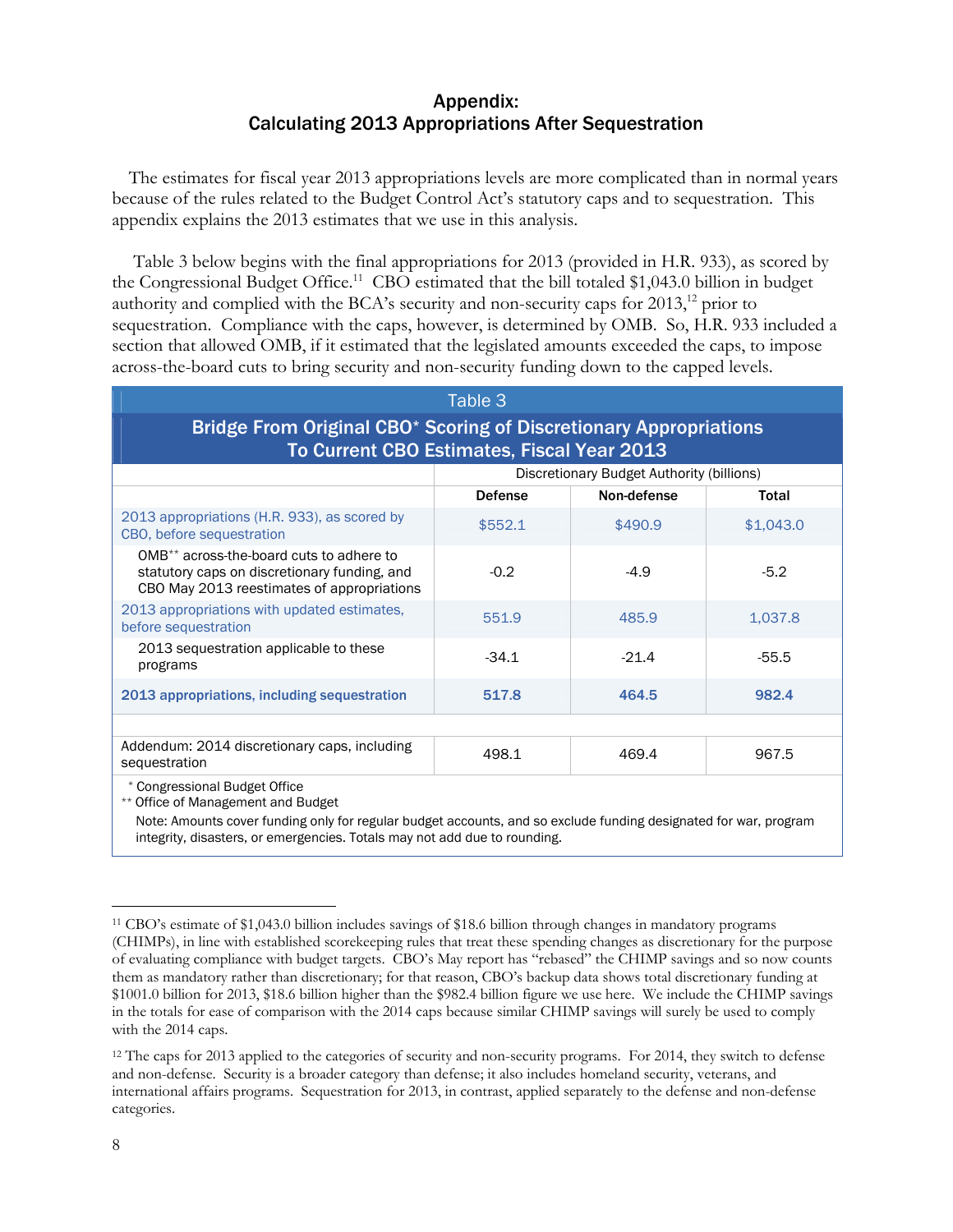#### Appendix: Calculating 2013 Appropriations After Sequestration

The estimates for fiscal year 2013 appropriations levels are more complicated than in normal years because of the rules related to the Budget Control Act's statutory caps and to sequestration. This appendix explains the 2013 estimates that we use in this analysis.

 Table 3 below begins with the final appropriations for 2013 (provided in H.R. 933), as scored by the Congressional Budget Office.<sup>11</sup> CBO estimated that the bill totaled \$1,043.0 billion in budget authority and complied with the BCA's security and non-security caps for  $2013$ ,<sup>12</sup> prior to sequestration. Compliance with the caps, however, is determined by OMB. So, H.R. 933 included a section that allowed OMB, if it estimated that the legislated amounts exceeded the caps, to impose across-the-board cuts to bring security and non-security funding down to the capped levels.

| Table 3                                                                                                                                            |                                           |             |           |  |  |  |  |  |
|----------------------------------------------------------------------------------------------------------------------------------------------------|-------------------------------------------|-------------|-----------|--|--|--|--|--|
| Bridge From Original CBO* Scoring of Discretionary Appropriations<br>To Current CBO Estimates, Fiscal Year 2013                                    |                                           |             |           |  |  |  |  |  |
|                                                                                                                                                    | Discretionary Budget Authority (billions) |             |           |  |  |  |  |  |
|                                                                                                                                                    | <b>Defense</b>                            | Non-defense | Total     |  |  |  |  |  |
| 2013 appropriations (H.R. 933), as scored by<br>CBO, before sequestration                                                                          | \$552.1                                   | \$490.9     | \$1,043.0 |  |  |  |  |  |
| OMB <sup>**</sup> across-the-board cuts to adhere to<br>statutory caps on discretionary funding, and<br>CBO May 2013 reestimates of appropriations | $-0.2$                                    | $-4.9$      | $-5.2$    |  |  |  |  |  |
| 2013 appropriations with updated estimates,<br>before sequestration                                                                                | 551.9                                     | 485.9       | 1,037.8   |  |  |  |  |  |
| 2013 sequestration applicable to these<br>programs                                                                                                 | $-34.1$                                   | $-21.4$     | $-55.5$   |  |  |  |  |  |
| 2013 appropriations, including sequestration                                                                                                       | 517.8                                     | 464.5       | 982.4     |  |  |  |  |  |
|                                                                                                                                                    |                                           |             |           |  |  |  |  |  |
| Addendum: 2014 discretionary caps, including<br>sequestration                                                                                      | 498.1                                     | 469.4       | 967.5     |  |  |  |  |  |
| * Congressional Budget Office<br>** Office of Management and Budget                                                                                |                                           |             |           |  |  |  |  |  |

Note: Amounts cover funding only for regular budget accounts, and so exclude funding designated for war, program integrity, disasters, or emergencies. Totals may not add due to rounding.

 $\overline{a}$ 

<sup>11</sup> CBO's estimate of \$1,043.0 billion includes savings of \$18.6 billion through changes in mandatory programs (CHIMPs), in line with established scorekeeping rules that treat these spending changes as discretionary for the purpose of evaluating compliance with budget targets. CBO's May report has "rebased" the CHIMP savings and so now counts them as mandatory rather than discretionary; for that reason, CBO's backup data shows total discretionary funding at \$1001.0 billion for 2013, \$18.6 billion higher than the \$982.4 billion figure we use here. We include the CHIMP savings in the totals for ease of comparison with the 2014 caps because similar CHIMP savings will surely be used to comply with the 2014 caps.

<sup>&</sup>lt;sup>12</sup> The caps for 2013 applied to the categories of security and non-security programs. For 2014, they switch to defense and non-defense. Security is a broader category than defense; it also includes homeland security, veterans, and international affairs programs. Sequestration for 2013, in contrast, applied separately to the defense and non-defense categories.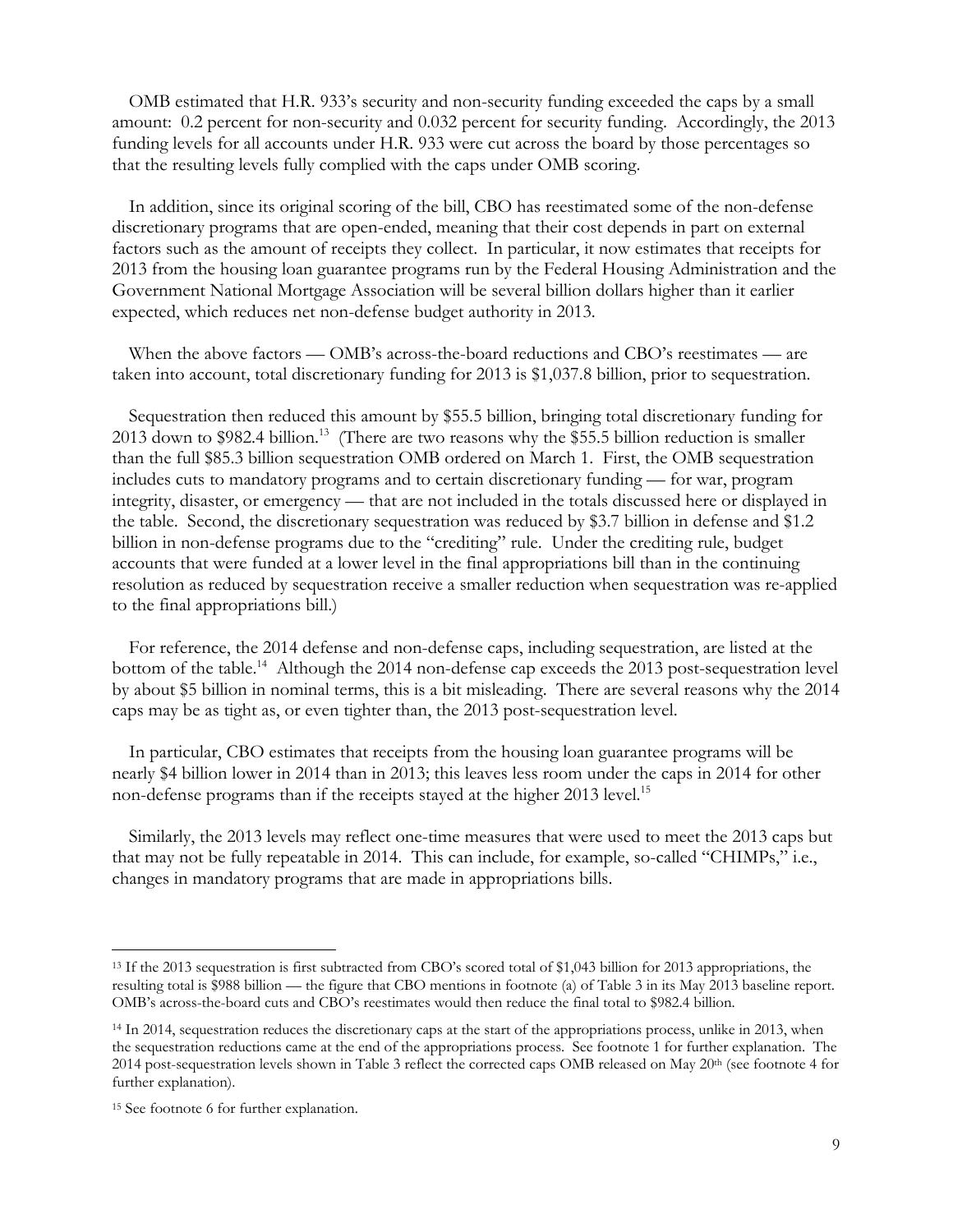OMB estimated that H.R. 933's security and non-security funding exceeded the caps by a small amount: 0.2 percent for non-security and 0.032 percent for security funding. Accordingly, the 2013 funding levels for all accounts under H.R. 933 were cut across the board by those percentages so that the resulting levels fully complied with the caps under OMB scoring.

In addition, since its original scoring of the bill, CBO has reestimated some of the non-defense discretionary programs that are open-ended, meaning that their cost depends in part on external factors such as the amount of receipts they collect. In particular, it now estimates that receipts for 2013 from the housing loan guarantee programs run by the Federal Housing Administration and the Government National Mortgage Association will be several billion dollars higher than it earlier expected, which reduces net non-defense budget authority in 2013.

When the above factors — OMB's across-the-board reductions and CBO's reestimates — are taken into account, total discretionary funding for 2013 is \$1,037.8 billion, prior to sequestration.

Sequestration then reduced this amount by \$55.5 billion, bringing total discretionary funding for 2013 down to \$982.4 billion.<sup>13</sup> (There are two reasons why the \$55.5 billion reduction is smaller than the full \$85.3 billion sequestration OMB ordered on March 1. First, the OMB sequestration includes cuts to mandatory programs and to certain discretionary funding — for war, program integrity, disaster, or emergency — that are not included in the totals discussed here or displayed in the table. Second, the discretionary sequestration was reduced by \$3.7 billion in defense and \$1.2 billion in non-defense programs due to the "crediting" rule. Under the crediting rule, budget accounts that were funded at a lower level in the final appropriations bill than in the continuing resolution as reduced by sequestration receive a smaller reduction when sequestration was re-applied to the final appropriations bill.)

For reference, the 2014 defense and non-defense caps, including sequestration, are listed at the bottom of the table.<sup>14</sup> Although the 2014 non-defense cap exceeds the 2013 post-sequestration level by about \$5 billion in nominal terms, this is a bit misleading. There are several reasons why the 2014 caps may be as tight as, or even tighter than, the 2013 post-sequestration level.

In particular, CBO estimates that receipts from the housing loan guarantee programs will be nearly \$4 billion lower in 2014 than in 2013; this leaves less room under the caps in 2014 for other non-defense programs than if the receipts stayed at the higher 2013 level.<sup>15</sup>

Similarly, the 2013 levels may reflect one-time measures that were used to meet the 2013 caps but that may not be fully repeatable in 2014. This can include, for example, so-called "CHIMPs," i.e., changes in mandatory programs that are made in appropriations bills.

 $\overline{a}$ 

<sup>13</sup> If the 2013 sequestration is first subtracted from CBO's scored total of \$1,043 billion for 2013 appropriations, the resulting total is \$988 billion — the figure that CBO mentions in footnote (a) of Table 3 in its May 2013 baseline report. OMB's across-the-board cuts and CBO's reestimates would then reduce the final total to \$982.4 billion.

<sup>&</sup>lt;sup>14</sup> In 2014, sequestration reduces the discretionary caps at the start of the appropriations process, unlike in 2013, when the sequestration reductions came at the end of the appropriations process. See footnote 1 for further explanation. The 2014 post-sequestration levels shown in Table 3 reflect the corrected caps OMB released on May 20th (see footnote 4 for further explanation).

<sup>15</sup> See footnote 6 for further explanation.